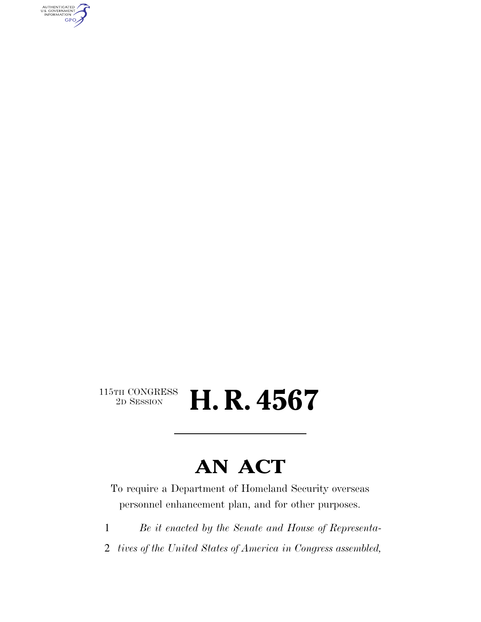AUTHENTICATED<br>U.S. GOVERNMENT<br>INFORMATION **GPO** 

#### $\begin{array}{c} \text{115TH CONGRESS} \\ \text{2D Session} \end{array}$ 2D SESSION **H. R. 4567**

### **AN ACT**

To require a Department of Homeland Security overseas personnel enhancement plan, and for other purposes.

- 1 *Be it enacted by the Senate and House of Representa-*
- 2 *tives of the United States of America in Congress assembled,*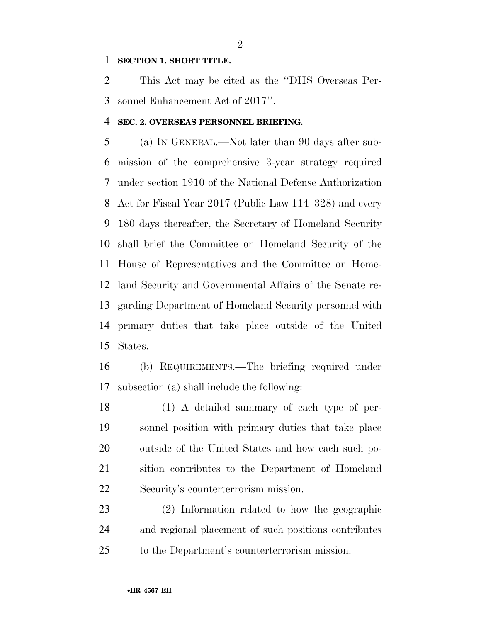#### **SECTION 1. SHORT TITLE.**

 This Act may be cited as the ''DHS Overseas Per-sonnel Enhancement Act of 2017''.

#### **SEC. 2. OVERSEAS PERSONNEL BRIEFING.**

 (a) IN GENERAL.—Not later than 90 days after sub- mission of the comprehensive 3-year strategy required under section 1910 of the National Defense Authorization Act for Fiscal Year 2017 (Public Law 114–328) and every 180 days thereafter, the Secretary of Homeland Security shall brief the Committee on Homeland Security of the House of Representatives and the Committee on Home- land Security and Governmental Affairs of the Senate re- garding Department of Homeland Security personnel with primary duties that take place outside of the United States.

 (b) REQUIREMENTS.—The briefing required under subsection (a) shall include the following:

 (1) A detailed summary of each type of per- sonnel position with primary duties that take place outside of the United States and how each such po- sition contributes to the Department of Homeland Security's counterterrorism mission.

 (2) Information related to how the geographic and regional placement of such positions contributes to the Department's counterterrorism mission.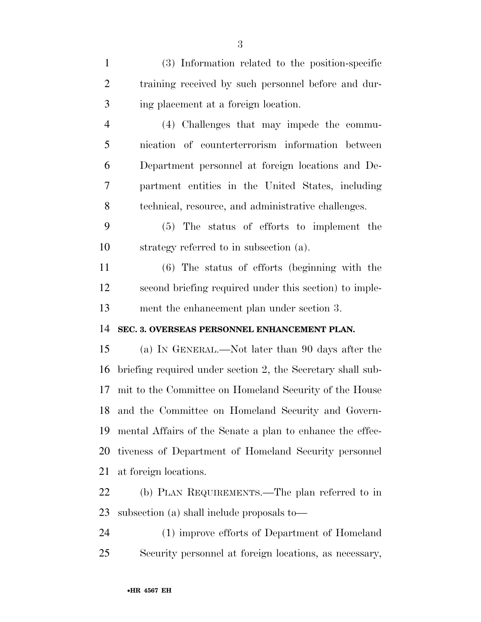(3) Information related to the position-specific training received by such personnel before and dur-ing placement at a foreign location.

 (4) Challenges that may impede the commu- nication of counterterrorism information between Department personnel at foreign locations and De- partment entities in the United States, including technical, resource, and administrative challenges.

 (5) The status of efforts to implement the strategy referred to in subsection (a).

 (6) The status of efforts (beginning with the second briefing required under this section) to imple-ment the enhancement plan under section 3.

#### **SEC. 3. OVERSEAS PERSONNEL ENHANCEMENT PLAN.**

 (a) IN GENERAL.—Not later than 90 days after the briefing required under section 2, the Secretary shall sub- mit to the Committee on Homeland Security of the House and the Committee on Homeland Security and Govern- mental Affairs of the Senate a plan to enhance the effec- tiveness of Department of Homeland Security personnel at foreign locations.

 (b) PLAN REQUIREMENTS.—The plan referred to in subsection (a) shall include proposals to—

 (1) improve efforts of Department of Homeland Security personnel at foreign locations, as necessary,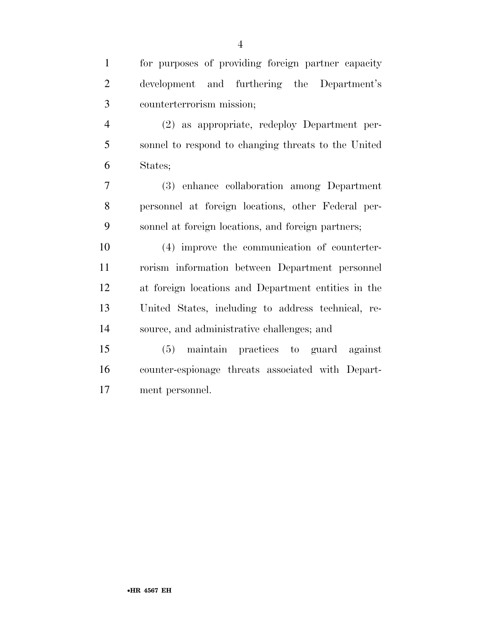| $\mathbf{1}$   | for purposes of providing foreign partner capacity  |
|----------------|-----------------------------------------------------|
| 2              | development and furthering the Department's         |
| 3              | counterterrorism mission;                           |
| $\overline{4}$ | (2) as appropriate, redeploy Department per-        |
| 5              | sonnel to respond to changing threats to the United |
| 6              | States;                                             |
| $\mathbf \tau$ | $(9)$ expanse collaboration among $D$ and $x$       |

 (3) enhance collaboration among Department personnel at foreign locations, other Federal per-sonnel at foreign locations, and foreign partners;

 (4) improve the communication of counterter- rorism information between Department personnel at foreign locations and Department entities in the United States, including to address technical, re-source, and administrative challenges; and

 (5) maintain practices to guard against counter-espionage threats associated with Depart-ment personnel.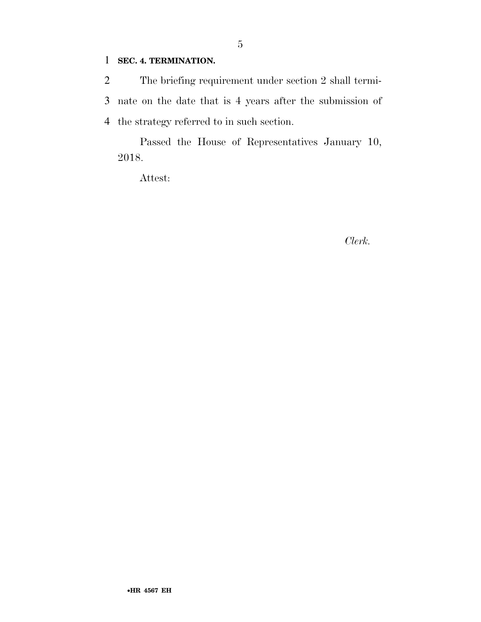#### 1 **SEC. 4. TERMINATION.**

2 The briefing requirement under section 2 shall termi-3 nate on the date that is 4 years after the submission of 4 the strategy referred to in such section.

Passed the House of Representatives January 10, 2018.

Attest:

*Clerk.*